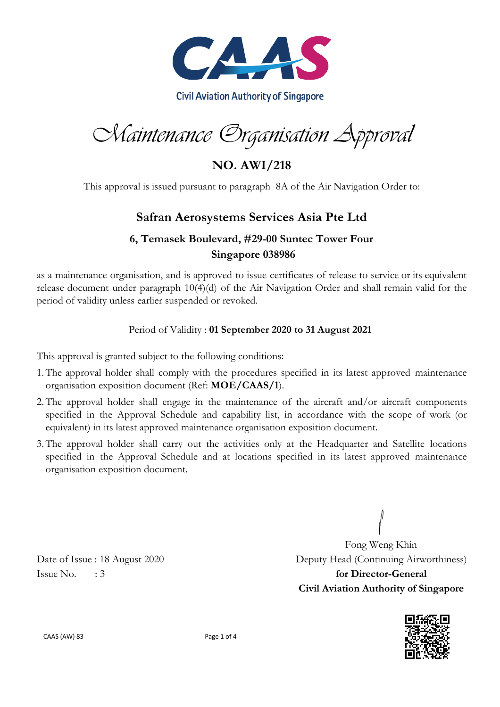

Maintenance Organisation Approval

**NO. AWI/218**

This approval is issued pursuant to paragraph 8A of the Air Navigation Order to:

## **Safran Aerosystems Services Asia Pte Ltd**

## **6, Temasek Boulevard, #29-00 Suntec Tower Four Singapore 038986**

as a maintenance organisation, and is approved to issue certificates of release to service or its equivalent release document under paragraph 10(4)(d) of the Air Navigation Order and shall remain valid for the period of validity unless earlier suspended or revoked.

### Period of Validity : **01 September 2020 to 31 August 2021**

This approval is granted subject to the following conditions:

- 1.The approval holder shall comply with the procedures specified in its latest approved maintenance organisation exposition document (Ref: **MOE/CAAS/1**).
- 2.The approval holder shall engage in the maintenance of the aircraft and/or aircraft components specified in the Approval Schedule and capability list, in accordance with the scope of work (or equivalent) in its latest approved maintenance organisation exposition document.
- 3.The approval holder shall carry out the activities only at the Headquarter and Satellite locations specified in the Approval Schedule and at locations specified in its latest approved maintenance organisation exposition document.

Fong Weng Khin Date of Issue : 18 August 2020 Deputy Head (Continuing Airworthiness) Issue No. : 3 **for Director-General Civil Aviation Authority of Singapore**



CAAS (AW) 83 Page 1 of 4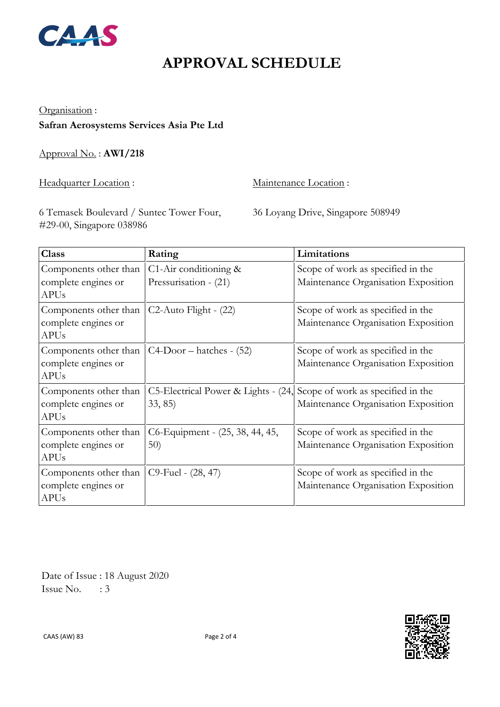

# **APPROVAL SCHEDULE**

#### Organisation :

**Safran Aerosystems Services Asia Pte Ltd**

Approval No. : **AWI/218**

Headquarter Location : Maintenance Location :

6 Temasek Boulevard / Suntec Tower Four, #29-00, Singapore 038986

36 Loyang Drive, Singapore 508949

| <b>Class</b>          | Rating                              | Limitations                         |
|-----------------------|-------------------------------------|-------------------------------------|
| Components other than | C1-Air conditioning $\&$            | Scope of work as specified in the   |
| complete engines or   | Pressurisation - (21)               | Maintenance Organisation Exposition |
| <b>APUs</b>           |                                     |                                     |
| Components other than | $C2$ -Auto Flight - $(22)$          | Scope of work as specified in the   |
| complete engines or   |                                     | Maintenance Organisation Exposition |
| <b>APUs</b>           |                                     |                                     |
| Components other than | $C4-Door - hatches - (52)$          | Scope of work as specified in the   |
| complete engines or   |                                     | Maintenance Organisation Exposition |
| <b>APUs</b>           |                                     |                                     |
| Components other than | C5-Electrical Power & Lights - (24, | Scope of work as specified in the   |
| complete engines or   | 33, 85)                             | Maintenance Organisation Exposition |
| <b>APUs</b>           |                                     |                                     |
| Components other than | C6-Equipment - (25, 38, 44, 45,     | Scope of work as specified in the   |
| complete engines or   | 50)                                 | Maintenance Organisation Exposition |
| <b>APUs</b>           |                                     |                                     |
| Components other than | C9-Fuel - (28, 47)                  | Scope of work as specified in the   |
| complete engines or   |                                     | Maintenance Organisation Exposition |
| <b>APUs</b>           |                                     |                                     |

 Date of Issue : 18 August 2020 Issue No.  $\therefore$  3

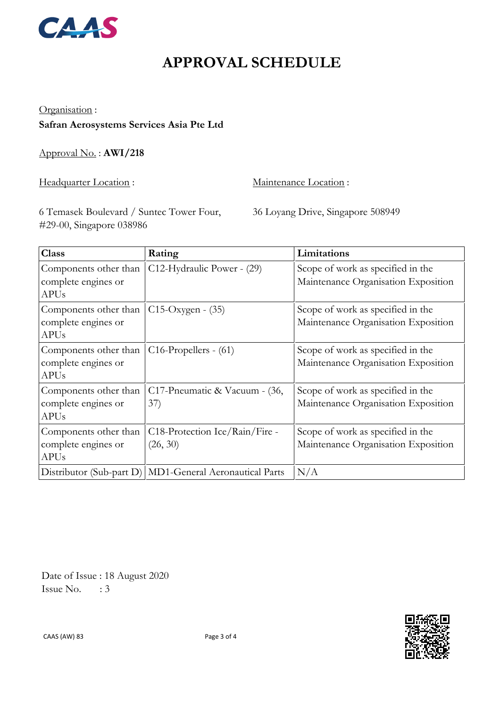

# **APPROVAL SCHEDULE**

#### Organisation :

### **Safran Aerosystems Services Asia Pte Ltd**

Approval No. : **AWI/218**

Headquarter Location : Maintenance Location :

6 Temasek Boulevard / Suntec Tower Four, #29-00, Singapore 038986

36 Loyang Drive, Singapore 508949

| <b>Class</b>                                                | Rating                                                    | Limitations                                                              |
|-------------------------------------------------------------|-----------------------------------------------------------|--------------------------------------------------------------------------|
| Components other than<br>complete engines or<br><b>APUs</b> | C12-Hydraulic Power - (29)                                | Scope of work as specified in the<br>Maintenance Organisation Exposition |
| Components other than<br>complete engines or<br><b>APUs</b> | C15-Oxygen - (35)                                         | Scope of work as specified in the<br>Maintenance Organisation Exposition |
| Components other than<br>complete engines or<br><b>APUs</b> | $C16$ -Propellers - $(61)$                                | Scope of work as specified in the<br>Maintenance Organisation Exposition |
| Components other than<br>complete engines or<br><b>APUs</b> | C17-Pneumatic & Vacuum - (36,<br>37)                      | Scope of work as specified in the<br>Maintenance Organisation Exposition |
| Components other than<br>complete engines or<br><b>APUs</b> | C18-Protection Ice/Rain/Fire -<br>(26, 30)                | Scope of work as specified in the<br>Maintenance Organisation Exposition |
|                                                             | Distributor (Sub-part D)   MD1-General Aeronautical Parts | N/A                                                                      |

 Date of Issue : 18 August 2020 Issue No.  $\therefore$  3